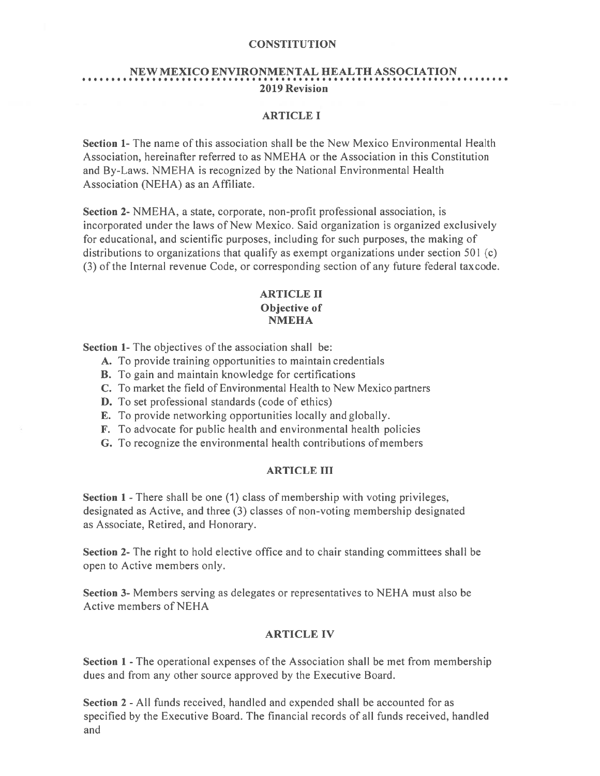# NEW MEXICO ENVIRONMENTAL HEALTH ASSOCIATION 2019 Revision

#### ARTICLE I

Section 1- The name of this association shall be the New Mexico Environmental Health Association, hereinafter referred to as NMEHA or the Association in this Constitution and By-Laws. NMEHA is recognized by the National Environmental Health Association (NEHA) as an Affiliate.

Section 2- NMEHA, <sup>a</sup> state, corporate, non-profit professional association, is incorporated under the laws of New Mexico. Said organization is organized exclusively for educational, and scientific purposes, including for such purposes, the making of distributions to organizations that qualify as exemp<sup>t</sup> organizations under section 501 (c) (3) of the Internal revenue Code, or corresponding section of any future federal taxcode.

## ARTICLE II Objective of **NMEHA**

Section 1- The objectives of the association shall be:

- A. To provide training opportunities to maintain credentials
- B. To gain and maintain knowledge for certifications
- C. To market the field of Environmental Health to New Mexico partners
- D. To set professional standards (code of ethics)
- E. To provide networking opportunities locally and globally.
- F. To advocate for public health and environmental health policies
- G. To recognize the environmental health contributions ofmembers

#### ARTICLE III

Section 1 - There shall be one (1) class of membership with voting privileges, designated as Active, and three (3) classes of non-voting membership designated as Associate, Retired, and Honorary.

Section 2- The right to hold elective office and to chair standing committees shall be open to Active members only.

Section 3- Members serving as delegates or representatives to NEHA must also be Active members of NEHA

#### ARTICLE IV

Section 1 - The operational expenses of the Association shall be met from membership dues and from any other source approved by the Executive Board.

Section 2 -All funds received, handled and expended shall be accounted for as specified by the Executive Board. The financial records of all funds received, handled and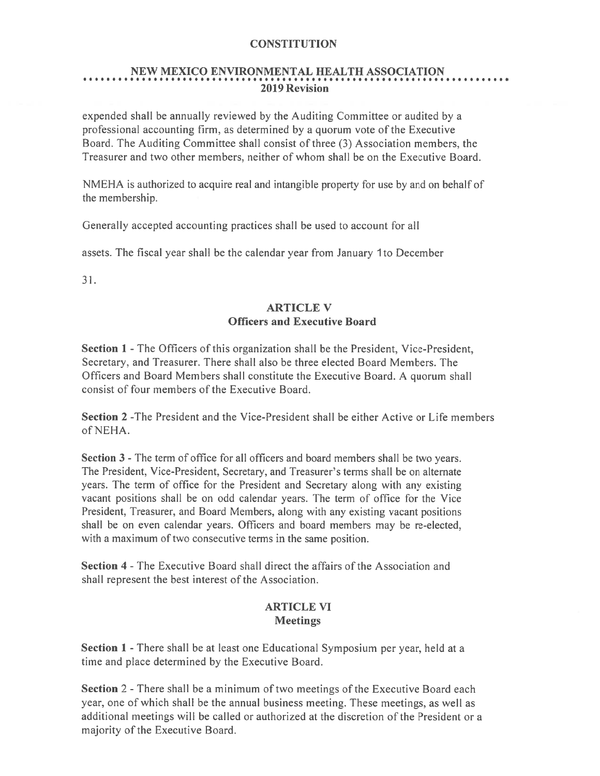# NEW MEXICO ENVIRONMENTAL HEALTH ASSOCIATION 2019 Revision

expended shall be annually reviewed by the Auditing Committee or audited by <sup>a</sup> professional accounting firm, as determined by <sup>a</sup> quorum vote of the Executive Board. The Auditing Committee shall consist of three (3) Association members, the Treasurer and two other members, neither of whom shall be on the Executive Board.

NMEHA is authorized to acquire real and intangible property for use by and on behalf of the membership.

Generally accepted accounting practices shall be used to account for all

assets. The fiscal year shall be the calendar year from January 1 to December

31.

## ARTICLE V Officers and Executive Board

Section 1 -The Officers of this organization shall be the President, Vice-President, Secretary, and Treasurer. There shall also be three elected Board Members. The Officers and Board Members shall constitute the Executive Board. A quorum shall consist of four members of the Executive Board.

Section 2 -The President and the Vice-President shall be either Active or Life members of NEHA.

Section 3 - The term of office for all officers and board members shall be two years. The President, Vice-President, Secretary, and Treasurer's terms shall be on alternate years. The term of office for the President and Secretary along with any existing vacant positions shall be on odd calendar years. The term of office for the Vice President, Treasurer, and Board Members, along with any existing vacant positions shall be on even calendar years. Officers and board members may be re-elected, with <sup>a</sup> maximum of two consecutive terms in the same position.

Section 4 - The Executive Board shall direct the affairs of the Association and shall represen<sup>t</sup> the best interest of the Association.

## ARTICLE VI **Meetings**

Section 1 - There shall be at least one Educational Symposium per year, held at a time and place determined by the Executive Board.

Section 2 - There shall be a minimum of two meetings of the Executive Board each year. one of which shall be the annual business meeting. These meetings, as well as additional meetings will be called or authorized at the discretion of the President or <sup>a</sup> majority of the Executive Board.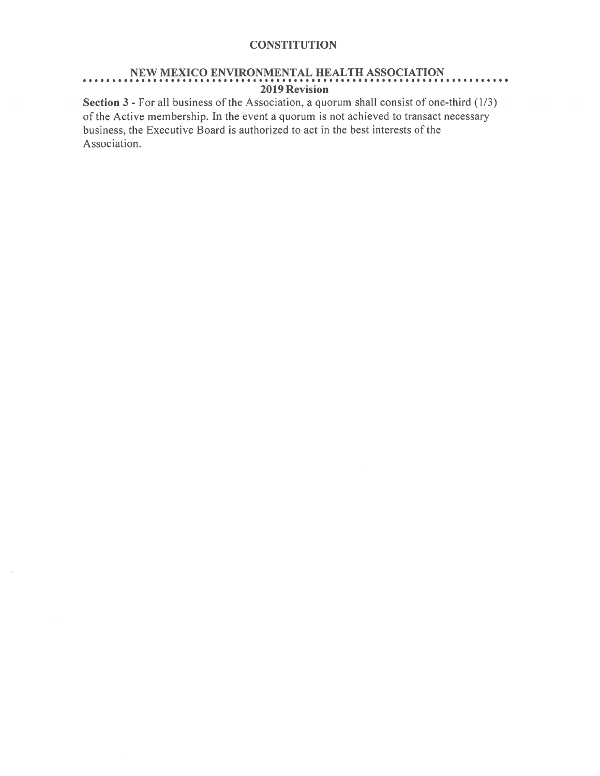## NEW MEXICO ENVIRONMENTAL HEALTH ASSOCIATION 2019 Revision

Section 3 - For all business of the Association, <sup>a</sup> quorum shall consist of one-third (1/3) of the Active membership. In the event <sup>a</sup> quorum is not achieved to transact necessary business, the Executive Board is authorized to act in the best interests of the Association.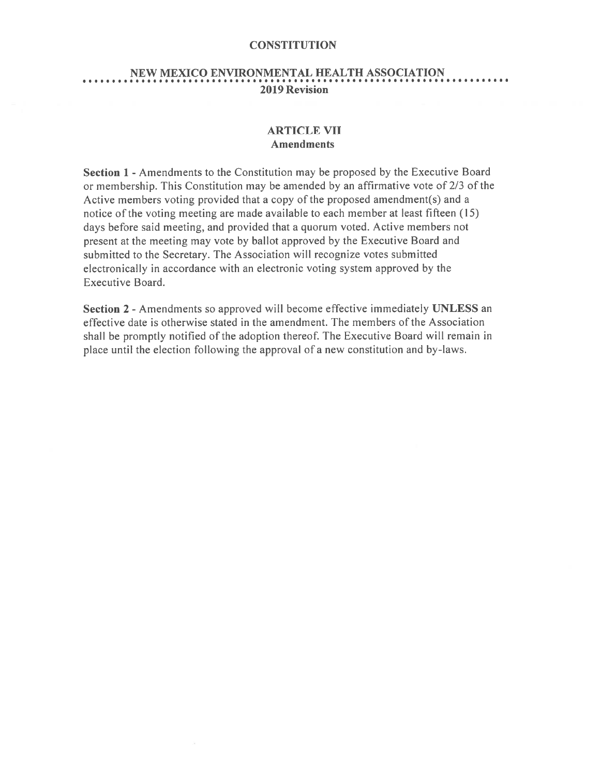#### NEW MEXICO ENVIRONMENTAL HEALTH ASSOCIATION •..............................................I...........I........III•• 2019 Revision

## ARTICLE VII Amendments

Section 1 - Amendments to the Constitution may be proposed by the Executive Board or membership. This Constitution may be amended by an affirmative vote of 2/3 of the Active members voting provided that <sup>a</sup> copy of the proposed amendment(s) and <sup>a</sup> notice of the voting meeting are made available to each member at least fifteen (15) days before said meeting, and provided that <sup>a</sup> quorum voted. Active members not presen<sup>t</sup> at the meeting may vote by ballot approved by the Executive Board and submitted to the Secretary. The Association will recognize votes submitted electronically in accordance with an electronic voting system approved by the Executive Board.

Section 2 - Amendments so approved will become effective immediately UNLESS an effective date is otherwise stated in the amendment. The members of the Association shall be promptly notified of the adoption thereof. The Executive Board will remain in place until the election following the approval of <sup>a</sup> new constitution and by-laws.